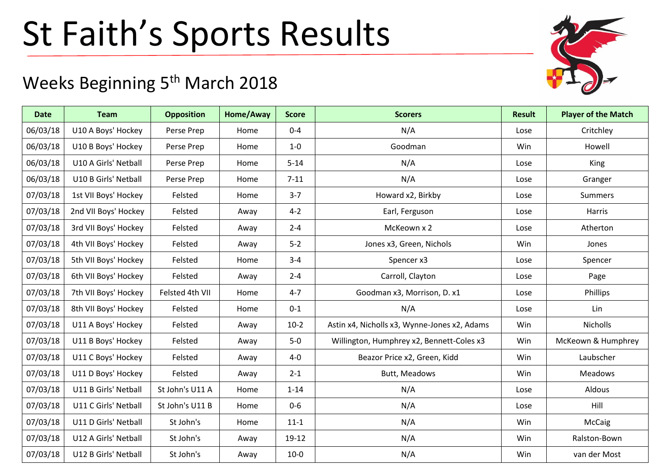## St Faith's Sports Results

## Weeks Beginning 5<sup>th</sup> March 2018

| <b>Date</b> | <b>Team</b>          | <b>Opposition</b> | Home/Away | <b>Score</b> | <b>Scorers</b>                               | <b>Result</b> | <b>Player of the Match</b> |
|-------------|----------------------|-------------------|-----------|--------------|----------------------------------------------|---------------|----------------------------|
| 06/03/18    | U10 A Boys' Hockey   | Perse Prep        | Home      | $0 - 4$      | N/A                                          | Lose          | Critchley                  |
| 06/03/18    | U10 B Boys' Hockey   | Perse Prep        | Home      | $1-0$        | Goodman                                      | Win           | Howell                     |
| 06/03/18    | U10 A Girls' Netball | Perse Prep        | Home      | $5 - 14$     | N/A                                          | Lose          | King                       |
| 06/03/18    | U10 B Girls' Netball | Perse Prep        | Home      | $7 - 11$     | N/A                                          | Lose          | Granger                    |
| 07/03/18    | 1st VII Boys' Hockey | Felsted           | Home      | $3 - 7$      | Howard x2, Birkby                            | Lose          | <b>Summers</b>             |
| 07/03/18    | 2nd VII Boys' Hockey | Felsted           | Away      | $4 - 2$      | Earl, Ferguson                               | Lose          | Harris                     |
| 07/03/18    | 3rd VII Boys' Hockey | Felsted           | Away      | $2 - 4$      | McKeown x 2                                  | Lose          | Atherton                   |
| 07/03/18    | 4th VII Boys' Hockey | Felsted           | Away      | $5-2$        | Jones x3, Green, Nichols                     | Win           | Jones                      |
| 07/03/18    | 5th VII Boys' Hockey | Felsted           | Home      | $3 - 4$      | Spencer x3                                   | Lose          | Spencer                    |
| 07/03/18    | 6th VII Boys' Hockey | Felsted           | Away      | $2 - 4$      | Carroll, Clayton                             | Lose          | Page                       |
| 07/03/18    | 7th VII Boys' Hockey | Felsted 4th VII   | Home      | $4 - 7$      | Goodman x3, Morrison, D. x1                  | Lose          | Phillips                   |
| 07/03/18    | 8th VII Boys' Hockey | Felsted           | Home      | $0 - 1$      | N/A                                          | Lose          | Lin                        |
| 07/03/18    | U11 A Boys' Hockey   | Felsted           | Away      | $10-2$       | Astin x4, Nicholls x3, Wynne-Jones x2, Adams | Win           | Nicholls                   |
| 07/03/18    | U11 B Boys' Hockey   | Felsted           | Away      | $5-0$        | Willington, Humphrey x2, Bennett-Coles x3    | Win           | McKeown & Humphrey         |
| 07/03/18    | U11 C Boys' Hockey   | Felsted           | Away      | $4-0$        | Beazor Price x2, Green, Kidd                 | Win           | Laubscher                  |
| 07/03/18    | U11 D Boys' Hockey   | Felsted           | Away      | $2 - 1$      | Butt, Meadows                                | Win           | <b>Meadows</b>             |
| 07/03/18    | U11 B Girls' Netball | St John's U11 A   | Home      | $1 - 14$     | N/A                                          | Lose          | Aldous                     |
| 07/03/18    | U11 C Girls' Netball | St John's U11 B   | Home      | $0-6$        | N/A                                          | Lose          | Hill                       |
| 07/03/18    | U11 D Girls' Netball | St John's         | Home      | $11 - 1$     | N/A                                          | Win           | McCaig                     |
| 07/03/18    | U12 A Girls' Netball | St John's         | Away      | 19-12        | N/A                                          | Win           | Ralston-Bown               |
| 07/03/18    | U12 B Girls' Netball | St John's         | Away      | $10-0$       | N/A                                          | Win           | van der Most               |